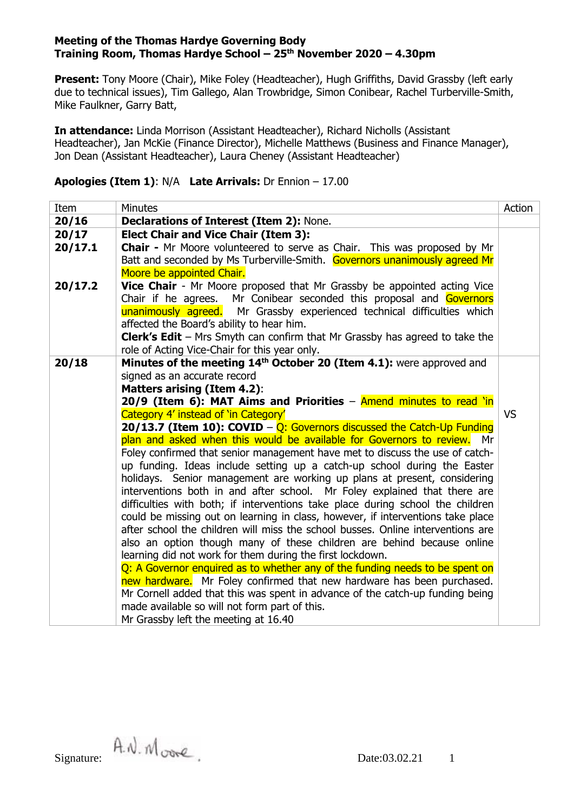**Present:** Tony Moore (Chair), Mike Foley (Headteacher), Hugh Griffiths, David Grassby (left early due to technical issues), Tim Gallego, Alan Trowbridge, Simon Conibear, Rachel Turberville-Smith, Mike Faulkner, Garry Batt,

**In attendance:** Linda Morrison (Assistant Headteacher), Richard Nicholls (Assistant Headteacher), Jan McKie (Finance Director), Michelle Matthews (Business and Finance Manager), Jon Dean (Assistant Headteacher), Laura Cheney (Assistant Headteacher)

## **Apologies (Item 1)**: N/A **Late Arrivals:** Dr Ennion – 17.00

| Item                                                                                                                                                 | <b>Minutes</b>                                                                                                                                          | Action |  |  |  |  |
|------------------------------------------------------------------------------------------------------------------------------------------------------|---------------------------------------------------------------------------------------------------------------------------------------------------------|--------|--|--|--|--|
| 20/16                                                                                                                                                | Declarations of Interest (Item 2): None.                                                                                                                |        |  |  |  |  |
| 20/17                                                                                                                                                | <b>Elect Chair and Vice Chair (Item 3):</b>                                                                                                             |        |  |  |  |  |
| 20/17.1                                                                                                                                              | Chair - Mr Moore volunteered to serve as Chair. This was proposed by Mr                                                                                 |        |  |  |  |  |
|                                                                                                                                                      | Batt and seconded by Ms Turberville-Smith. Governors unanimously agreed Mr                                                                              |        |  |  |  |  |
|                                                                                                                                                      | Moore be appointed Chair.                                                                                                                               |        |  |  |  |  |
| 20/17.2                                                                                                                                              | Vice Chair - Mr Moore proposed that Mr Grassby be appointed acting Vice                                                                                 |        |  |  |  |  |
|                                                                                                                                                      | Chair if he agrees. Mr Conibear seconded this proposal and Governors                                                                                    |        |  |  |  |  |
|                                                                                                                                                      | unanimously agreed. Mr Grassby experienced technical difficulties which                                                                                 |        |  |  |  |  |
|                                                                                                                                                      | affected the Board's ability to hear him.                                                                                                               |        |  |  |  |  |
|                                                                                                                                                      | <b>Clerk's Edit</b> – Mrs Smyth can confirm that Mr Grassby has agreed to take the                                                                      |        |  |  |  |  |
|                                                                                                                                                      | role of Acting Vice-Chair for this year only.                                                                                                           |        |  |  |  |  |
| 20/18                                                                                                                                                | Minutes of the meeting 14 <sup>th</sup> October 20 (Item 4.1): were approved and                                                                        |        |  |  |  |  |
| signed as an accurate record                                                                                                                         |                                                                                                                                                         |        |  |  |  |  |
|                                                                                                                                                      | <b>Matters arising (Item 4.2):</b>                                                                                                                      |        |  |  |  |  |
|                                                                                                                                                      | 20/9 (Item 6): MAT Aims and Priorities - Amend minutes to read 'in<br>Category 4' instead of 'in Category'                                              |        |  |  |  |  |
|                                                                                                                                                      |                                                                                                                                                         |        |  |  |  |  |
| 20/13.7 (Item 10): COVID - Q: Governors discussed the Catch-Up Funding<br>plan and asked when this would be available for Governors to review.<br>Mr |                                                                                                                                                         |        |  |  |  |  |
|                                                                                                                                                      | Foley confirmed that senior management have met to discuss the use of catch-                                                                            |        |  |  |  |  |
|                                                                                                                                                      | up funding. Ideas include setting up a catch-up school during the Easter                                                                                |        |  |  |  |  |
|                                                                                                                                                      | holidays. Senior management are working up plans at present, considering                                                                                |        |  |  |  |  |
|                                                                                                                                                      | interventions both in and after school. Mr Foley explained that there are                                                                               |        |  |  |  |  |
|                                                                                                                                                      | difficulties with both; if interventions take place during school the children                                                                          |        |  |  |  |  |
|                                                                                                                                                      | could be missing out on learning in class, however, if interventions take place                                                                         |        |  |  |  |  |
|                                                                                                                                                      | after school the children will miss the school busses. Online interventions are                                                                         |        |  |  |  |  |
|                                                                                                                                                      | also an option though many of these children are behind because online                                                                                  |        |  |  |  |  |
|                                                                                                                                                      | learning did not work for them during the first lockdown.                                                                                               |        |  |  |  |  |
|                                                                                                                                                      | Q: A Governor enquired as to whether any of the funding needs to be spent on                                                                            |        |  |  |  |  |
|                                                                                                                                                      | new hardware. Mr Foley confirmed that new hardware has been purchased.<br>Mr Cornell added that this was spent in advance of the catch-up funding being |        |  |  |  |  |
|                                                                                                                                                      |                                                                                                                                                         |        |  |  |  |  |
|                                                                                                                                                      | made available so will not form part of this.                                                                                                           |        |  |  |  |  |
|                                                                                                                                                      | Mr Grassby left the meeting at 16.40                                                                                                                    |        |  |  |  |  |

Signature:  $\hat{A} \cdot \hat{N} \cdot \hat{M}$  over  $\hat{C}$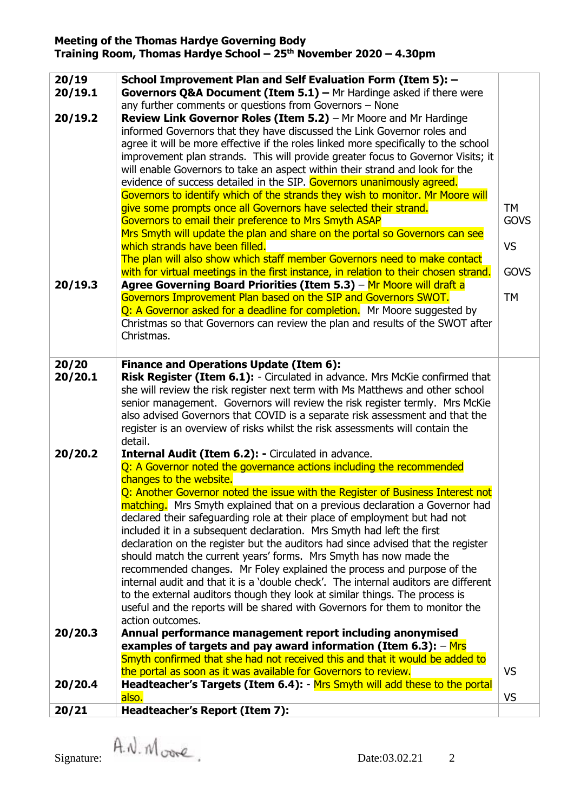| 20/19<br>20/19.1 | School Improvement Plan and Self Evaluation Form (Item 5): -<br><b>Governors Q&amp;A Document (Item 5.1)</b> - Mr Hardinge asked if there were<br>any further comments or questions from Governors - None |             |
|------------------|-----------------------------------------------------------------------------------------------------------------------------------------------------------------------------------------------------------|-------------|
| 20/19.2          | Review Link Governor Roles (Item 5.2) - Mr Moore and Mr Hardinge                                                                                                                                          |             |
|                  | informed Governors that they have discussed the Link Governor roles and                                                                                                                                   |             |
|                  |                                                                                                                                                                                                           |             |
|                  | agree it will be more effective if the roles linked more specifically to the school                                                                                                                       |             |
|                  | improvement plan strands. This will provide greater focus to Governor Visits; it                                                                                                                          |             |
|                  | will enable Governors to take an aspect within their strand and look for the                                                                                                                              |             |
|                  | evidence of success detailed in the SIP. Governors unanimously agreed.                                                                                                                                    |             |
|                  | Governors to identify which of the strands they wish to monitor. Mr Moore will                                                                                                                            |             |
|                  | give some prompts once all Governors have selected their strand.                                                                                                                                          | <b>TM</b>   |
|                  | Governors to email their preference to Mrs Smyth ASAP                                                                                                                                                     | <b>GOVS</b> |
|                  | Mrs Smyth will update the plan and share on the portal so Governors can see                                                                                                                               |             |
|                  | which strands have been filled.                                                                                                                                                                           | <b>VS</b>   |
|                  | The plan will also show which staff member Governors need to make contact                                                                                                                                 |             |
|                  | with for virtual meetings in the first instance, in relation to their chosen strand.                                                                                                                      | <b>GOVS</b> |
| 20/19.3          | Agree Governing Board Priorities (Item 5.3) - Mr Moore will draft a                                                                                                                                       |             |
|                  | Governors Improvement Plan based on the SIP and Governors SWOT.                                                                                                                                           | <b>TM</b>   |
|                  | Q: A Governor asked for a deadline for completion. Mr Moore suggested by                                                                                                                                  |             |
|                  | Christmas so that Governors can review the plan and results of the SWOT after                                                                                                                             |             |
|                  | Christmas.                                                                                                                                                                                                |             |
|                  |                                                                                                                                                                                                           |             |
| 20/20            | <b>Finance and Operations Update (Item 6):</b>                                                                                                                                                            |             |
| 20/20.1          | Risk Register (Item 6.1): - Circulated in advance. Mrs McKie confirmed that                                                                                                                               |             |
|                  | she will review the risk register next term with Ms Matthews and other school                                                                                                                             |             |
|                  | senior management. Governors will review the risk register termly. Mrs McKie                                                                                                                              |             |
|                  | also advised Governors that COVID is a separate risk assessment and that the                                                                                                                              |             |
|                  | register is an overview of risks whilst the risk assessments will contain the                                                                                                                             |             |
|                  | detail.                                                                                                                                                                                                   |             |
| 20/20.2          | Internal Audit (Item 6.2): - Circulated in advance.                                                                                                                                                       |             |
|                  | Q: A Governor noted the governance actions including the recommended                                                                                                                                      |             |
|                  | changes to the website.                                                                                                                                                                                   |             |
|                  | Q: Another Governor noted the issue with the Register of Business Interest not                                                                                                                            |             |
|                  | matching. Mrs Smyth explained that on a previous declaration a Governor had                                                                                                                               |             |
|                  | declared their safeguarding role at their place of employment but had not                                                                                                                                 |             |
|                  | included it in a subsequent declaration. Mrs Smyth had left the first                                                                                                                                     |             |
|                  | declaration on the register but the auditors had since advised that the register                                                                                                                          |             |
|                  | should match the current years' forms. Mrs Smyth has now made the                                                                                                                                         |             |
|                  | recommended changes. Mr Foley explained the process and purpose of the                                                                                                                                    |             |
|                  | internal audit and that it is a 'double check'. The internal auditors are different                                                                                                                       |             |
|                  | to the external auditors though they look at similar things. The process is                                                                                                                               |             |
|                  | useful and the reports will be shared with Governors for them to monitor the                                                                                                                              |             |
|                  | action outcomes.                                                                                                                                                                                          |             |
| 20/20.3          | Annual performance management report including anonymised                                                                                                                                                 |             |
|                  | examples of targets and pay award information (Item 6.3): - Mrs                                                                                                                                           |             |
|                  | Smyth confirmed that she had not received this and that it would be added to                                                                                                                              |             |
|                  | the portal as soon as it was available for Governors to review.                                                                                                                                           | <b>VS</b>   |
| 20/20.4          | Headteacher's Targets (Item 6.4): - Mrs Smyth will add these to the portal                                                                                                                                |             |
|                  | also.                                                                                                                                                                                                     | <b>VS</b>   |
| 20/21            | Headteacher's Report (Item 7):                                                                                                                                                                            |             |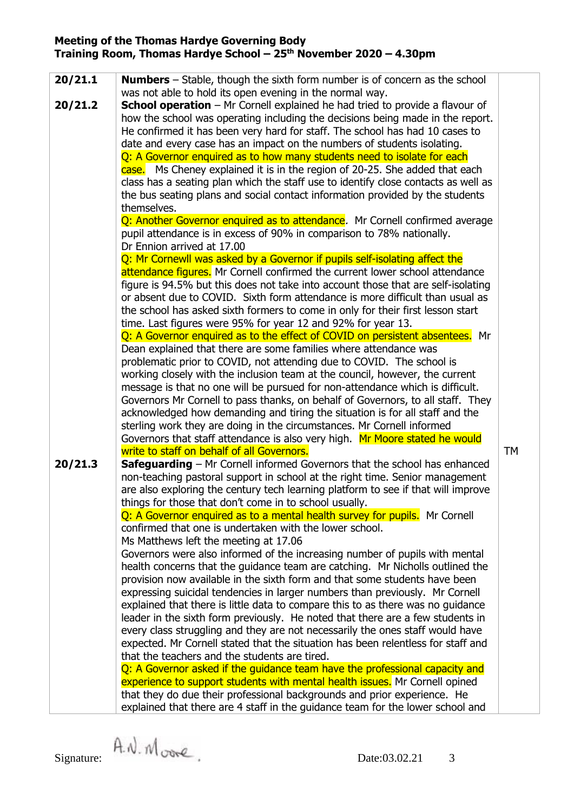| 20/21.1                                                                      | <b>Numbers</b> – Stable, though the sixth form number is of concern as the school<br>was not able to hold its open evening in the normal way. |           |  |  |  |  |
|------------------------------------------------------------------------------|-----------------------------------------------------------------------------------------------------------------------------------------------|-----------|--|--|--|--|
| 20/21.2                                                                      | <b>School operation</b> – Mr Cornell explained he had tried to provide a flavour of                                                           |           |  |  |  |  |
|                                                                              | how the school was operating including the decisions being made in the report.                                                                |           |  |  |  |  |
|                                                                              |                                                                                                                                               |           |  |  |  |  |
|                                                                              | He confirmed it has been very hard for staff. The school has had 10 cases to                                                                  |           |  |  |  |  |
|                                                                              | date and every case has an impact on the numbers of students isolating.                                                                       |           |  |  |  |  |
|                                                                              | Q: A Governor enquired as to how many students need to isolate for each                                                                       |           |  |  |  |  |
|                                                                              | case. Ms Cheney explained it is in the region of 20-25. She added that each                                                                   |           |  |  |  |  |
|                                                                              | class has a seating plan which the staff use to identify close contacts as well as                                                            |           |  |  |  |  |
|                                                                              | the bus seating plans and social contact information provided by the students                                                                 |           |  |  |  |  |
|                                                                              | themselves.<br>Q: Another Governor enquired as to attendance. Mr Cornell confirmed average                                                    |           |  |  |  |  |
|                                                                              |                                                                                                                                               |           |  |  |  |  |
|                                                                              | pupil attendance is in excess of 90% in comparison to 78% nationally.                                                                         |           |  |  |  |  |
|                                                                              | Dr Ennion arrived at 17.00                                                                                                                    |           |  |  |  |  |
|                                                                              | Q: Mr Cornewll was asked by a Governor if pupils self-isolating affect the                                                                    |           |  |  |  |  |
|                                                                              |                                                                                                                                               |           |  |  |  |  |
|                                                                              | attendance figures. Mr Cornell confirmed the current lower school attendance                                                                  |           |  |  |  |  |
|                                                                              | figure is 94.5% but this does not take into account those that are self-isolating                                                             |           |  |  |  |  |
|                                                                              | or absent due to COVID. Sixth form attendance is more difficult than usual as                                                                 |           |  |  |  |  |
|                                                                              | the school has asked sixth formers to come in only for their first lesson start                                                               |           |  |  |  |  |
|                                                                              | time. Last figures were 95% for year 12 and 92% for year 13.                                                                                  |           |  |  |  |  |
|                                                                              | Q: A Governor enquired as to the effect of COVID on persistent absentees. Mr                                                                  |           |  |  |  |  |
|                                                                              | Dean explained that there are some families where attendance was                                                                              |           |  |  |  |  |
|                                                                              | problematic prior to COVID, not attending due to COVID. The school is                                                                         |           |  |  |  |  |
|                                                                              | working closely with the inclusion team at the council, however, the current                                                                  |           |  |  |  |  |
|                                                                              | message is that no one will be pursued for non-attendance which is difficult.                                                                 |           |  |  |  |  |
|                                                                              | Governors Mr Cornell to pass thanks, on behalf of Governors, to all staff. They                                                               |           |  |  |  |  |
|                                                                              |                                                                                                                                               |           |  |  |  |  |
| acknowledged how demanding and tiring the situation is for all staff and the |                                                                                                                                               |           |  |  |  |  |
|                                                                              | sterling work they are doing in the circumstances. Mr Cornell informed                                                                        |           |  |  |  |  |
| Governors that staff attendance is also very high. Mr Moore stated he would  |                                                                                                                                               |           |  |  |  |  |
|                                                                              | write to staff on behalf of all Governors.                                                                                                    | <b>TM</b> |  |  |  |  |
| 20/21.3                                                                      | <b>Safeguarding</b> – Mr Cornell informed Governors that the school has enhanced                                                              |           |  |  |  |  |
|                                                                              | non-teaching pastoral support in school at the right time. Senior management                                                                  |           |  |  |  |  |
|                                                                              | are also exploring the century tech learning platform to see if that will improve                                                             |           |  |  |  |  |
|                                                                              | things for those that don't come in to school usually.                                                                                        |           |  |  |  |  |
|                                                                              | Q: A Governor enquired as to a mental health survey for pupils. Mr Cornell                                                                    |           |  |  |  |  |
|                                                                              | confirmed that one is undertaken with the lower school.                                                                                       |           |  |  |  |  |
|                                                                              | Ms Matthews left the meeting at 17.06                                                                                                         |           |  |  |  |  |
|                                                                              | Governors were also informed of the increasing number of pupils with mental                                                                   |           |  |  |  |  |
|                                                                              | health concerns that the guidance team are catching. Mr Nicholls outlined the                                                                 |           |  |  |  |  |
|                                                                              | provision now available in the sixth form and that some students have been                                                                    |           |  |  |  |  |
|                                                                              | expressing suicidal tendencies in larger numbers than previously. Mr Cornell                                                                  |           |  |  |  |  |
|                                                                              | explained that there is little data to compare this to as there was no guidance                                                               |           |  |  |  |  |
|                                                                              |                                                                                                                                               |           |  |  |  |  |
|                                                                              | leader in the sixth form previously. He noted that there are a few students in                                                                |           |  |  |  |  |
|                                                                              | every class struggling and they are not necessarily the ones staff would have                                                                 |           |  |  |  |  |
|                                                                              | expected. Mr Cornell stated that the situation has been relentless for staff and                                                              |           |  |  |  |  |
|                                                                              | that the teachers and the students are tired.                                                                                                 |           |  |  |  |  |
|                                                                              | Q: A Governor asked if the guidance team have the professional capacity and                                                                   |           |  |  |  |  |
|                                                                              | experience to support students with mental health issues. Mr Cornell opined                                                                   |           |  |  |  |  |
|                                                                              | that they do due their professional backgrounds and prior experience. He                                                                      |           |  |  |  |  |
|                                                                              | explained that there are 4 staff in the guidance team for the lower school and                                                                |           |  |  |  |  |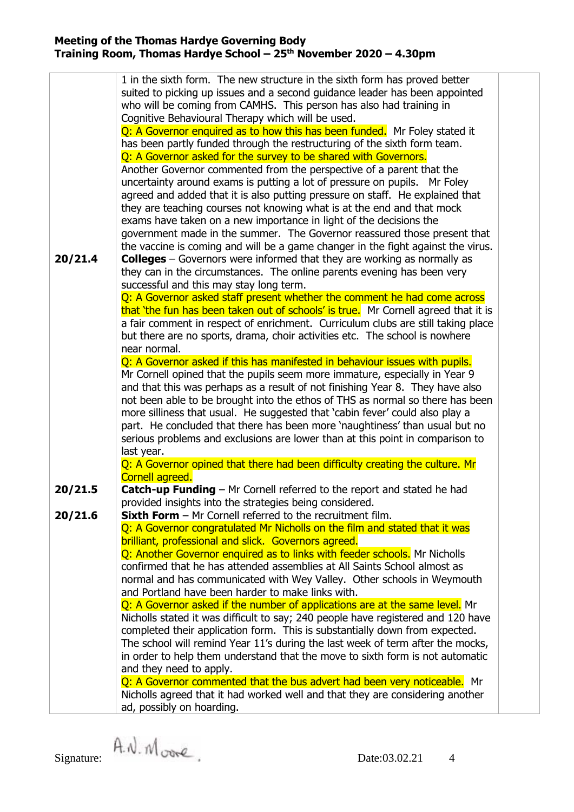|         | 1 in the sixth form. The new structure in the sixth form has proved better                 |  |  |  |  |
|---------|--------------------------------------------------------------------------------------------|--|--|--|--|
|         | suited to picking up issues and a second guidance leader has been appointed                |  |  |  |  |
|         |                                                                                            |  |  |  |  |
|         | who will be coming from CAMHS. This person has also had training in                        |  |  |  |  |
|         | Cognitive Behavioural Therapy which will be used.                                          |  |  |  |  |
|         | Q: A Governor enquired as to how this has been funded. Mr Foley stated it                  |  |  |  |  |
|         |                                                                                            |  |  |  |  |
|         | has been partly funded through the restructuring of the sixth form team.                   |  |  |  |  |
|         | Q: A Governor asked for the survey to be shared with Governors.                            |  |  |  |  |
|         | Another Governor commented from the perspective of a parent that the                       |  |  |  |  |
|         |                                                                                            |  |  |  |  |
|         | uncertainty around exams is putting a lot of pressure on pupils. Mr Foley                  |  |  |  |  |
|         | agreed and added that it is also putting pressure on staff. He explained that              |  |  |  |  |
|         | they are teaching courses not knowing what is at the end and that mock                     |  |  |  |  |
|         | exams have taken on a new importance in light of the decisions the                         |  |  |  |  |
|         |                                                                                            |  |  |  |  |
|         | government made in the summer. The Governor reassured those present that                   |  |  |  |  |
|         | the vaccine is coming and will be a game changer in the fight against the virus.           |  |  |  |  |
| 20/21.4 | <b>Colleges</b> $-$ Governors were informed that they are working as normally as           |  |  |  |  |
|         | they can in the circumstances. The online parents evening has been very                    |  |  |  |  |
|         | successful and this may stay long term.                                                    |  |  |  |  |
|         |                                                                                            |  |  |  |  |
|         | Q: A Governor asked staff present whether the comment he had come across                   |  |  |  |  |
|         | that 'the fun has been taken out of schools' is true. Mr Cornell agreed that it is         |  |  |  |  |
|         | a fair comment in respect of enrichment. Curriculum clubs are still taking place           |  |  |  |  |
|         | but there are no sports, drama, choir activities etc. The school is nowhere                |  |  |  |  |
|         |                                                                                            |  |  |  |  |
|         | near normal.                                                                               |  |  |  |  |
|         | Q: A Governor asked if this has manifested in behaviour issues with pupils.                |  |  |  |  |
|         | Mr Cornell opined that the pupils seem more immature, especially in Year 9                 |  |  |  |  |
|         | and that this was perhaps as a result of not finishing Year 8. They have also              |  |  |  |  |
|         |                                                                                            |  |  |  |  |
|         | not been able to be brought into the ethos of THS as normal so there has been              |  |  |  |  |
|         | more silliness that usual. He suggested that 'cabin fever' could also play a               |  |  |  |  |
|         | part. He concluded that there has been more 'naughtiness' than usual but no                |  |  |  |  |
|         | serious problems and exclusions are lower than at this point in comparison to              |  |  |  |  |
|         |                                                                                            |  |  |  |  |
|         | last year.<br>Q: A Governor opined that there had been difficulty creating the culture. Mr |  |  |  |  |
|         |                                                                                            |  |  |  |  |
|         | Cornell agreed.                                                                            |  |  |  |  |
| 20/21.5 | <b>Catch-up Funding</b> - Mr Cornell referred to the report and stated he had              |  |  |  |  |
|         | provided insights into the strategies being considered.                                    |  |  |  |  |
|         |                                                                                            |  |  |  |  |
| 20/21.6 | <b>Sixth Form</b> $-$ Mr Cornell referred to the recruitment film.                         |  |  |  |  |
|         | Q: A Governor congratulated Mr Nicholls on the film and stated that it was                 |  |  |  |  |
|         | brilliant, professional and slick. Governors agreed.                                       |  |  |  |  |
|         | Q: Another Governor enquired as to links with feeder schools. Mr Nicholls                  |  |  |  |  |
|         |                                                                                            |  |  |  |  |
|         | confirmed that he has attended assemblies at All Saints School almost as                   |  |  |  |  |
|         | normal and has communicated with Wey Valley. Other schools in Weymouth                     |  |  |  |  |
|         | and Portland have been harder to make links with.                                          |  |  |  |  |
|         | Q: A Governor asked if the number of applications are at the same level. Mr                |  |  |  |  |
|         | Nicholls stated it was difficult to say; 240 people have registered and 120 have           |  |  |  |  |
|         |                                                                                            |  |  |  |  |
|         | completed their application form. This is substantially down from expected.                |  |  |  |  |
|         | The school will remind Year 11's during the last week of term after the mocks,             |  |  |  |  |
|         | in order to help them understand that the move to sixth form is not automatic              |  |  |  |  |
|         | and they need to apply.                                                                    |  |  |  |  |
|         |                                                                                            |  |  |  |  |
|         | Q: A Governor commented that the bus advert had been very noticeable. Mr                   |  |  |  |  |
|         | Nicholls agreed that it had worked well and that they are considering another              |  |  |  |  |
|         | ad, possibly on hoarding.                                                                  |  |  |  |  |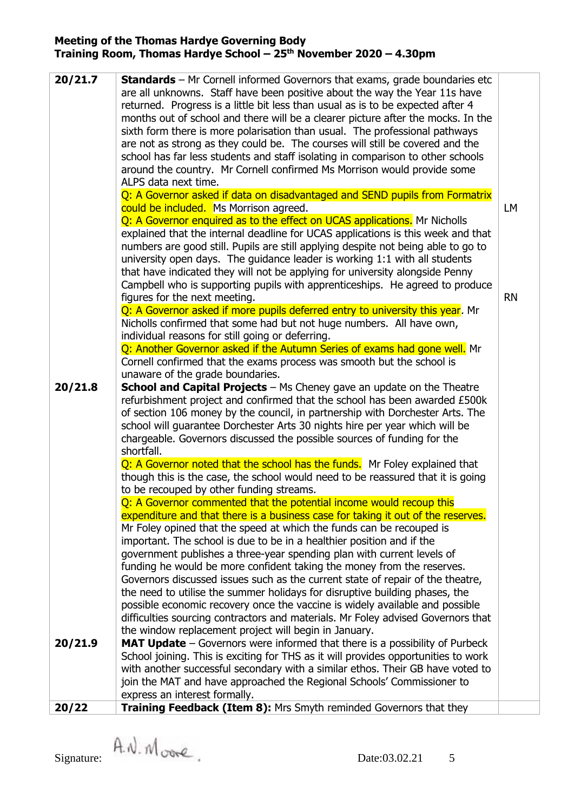| 20/21.7 | <b>Standards</b> – Mr Cornell informed Governors that exams, grade boundaries etc<br>are all unknowns. Staff have been positive about the way the Year 11s have<br>returned. Progress is a little bit less than usual as is to be expected after 4<br>months out of school and there will be a clearer picture after the mocks. In the<br>sixth form there is more polarisation than usual. The professional pathways<br>are not as strong as they could be. The courses will still be covered and the<br>school has far less students and staff isolating in comparison to other schools<br>around the country. Mr Cornell confirmed Ms Morrison would provide some<br>ALPS data next time.<br>Q: A Governor asked if data on disadvantaged and SEND pupils from Formatrix |           |
|---------|-----------------------------------------------------------------------------------------------------------------------------------------------------------------------------------------------------------------------------------------------------------------------------------------------------------------------------------------------------------------------------------------------------------------------------------------------------------------------------------------------------------------------------------------------------------------------------------------------------------------------------------------------------------------------------------------------------------------------------------------------------------------------------|-----------|
|         | could be included. Ms Morrison agreed.                                                                                                                                                                                                                                                                                                                                                                                                                                                                                                                                                                                                                                                                                                                                      | LM        |
|         | Q: A Governor enquired as to the effect on UCAS applications. Mr Nicholls                                                                                                                                                                                                                                                                                                                                                                                                                                                                                                                                                                                                                                                                                                   |           |
|         | explained that the internal deadline for UCAS applications is this week and that<br>numbers are good still. Pupils are still applying despite not being able to go to<br>university open days. The guidance leader is working 1:1 with all students<br>that have indicated they will not be applying for university alongside Penny<br>Campbell who is supporting pupils with apprenticeships. He agreed to produce<br>figures for the next meeting.                                                                                                                                                                                                                                                                                                                        | <b>RN</b> |
|         | Q: A Governor asked if more pupils deferred entry to university this year. Mr                                                                                                                                                                                                                                                                                                                                                                                                                                                                                                                                                                                                                                                                                               |           |
|         | Nicholls confirmed that some had but not huge numbers. All have own,<br>individual reasons for still going or deferring.                                                                                                                                                                                                                                                                                                                                                                                                                                                                                                                                                                                                                                                    |           |
|         | Q: Another Governor asked if the Autumn Series of exams had gone well. Mr                                                                                                                                                                                                                                                                                                                                                                                                                                                                                                                                                                                                                                                                                                   |           |
|         | Cornell confirmed that the exams process was smooth but the school is<br>unaware of the grade boundaries.                                                                                                                                                                                                                                                                                                                                                                                                                                                                                                                                                                                                                                                                   |           |
| 20/21.8 | School and Capital Projects - Ms Cheney gave an update on the Theatre                                                                                                                                                                                                                                                                                                                                                                                                                                                                                                                                                                                                                                                                                                       |           |
|         | refurbishment project and confirmed that the school has been awarded £500k<br>of section 106 money by the council, in partnership with Dorchester Arts. The<br>school will guarantee Dorchester Arts 30 nights hire per year which will be<br>chargeable. Governors discussed the possible sources of funding for the<br>shortfall.                                                                                                                                                                                                                                                                                                                                                                                                                                         |           |
|         | Q: A Governor noted that the school has the funds. Mr Foley explained that                                                                                                                                                                                                                                                                                                                                                                                                                                                                                                                                                                                                                                                                                                  |           |
|         | though this is the case, the school would need to be reassured that it is going<br>to be recouped by other funding streams.                                                                                                                                                                                                                                                                                                                                                                                                                                                                                                                                                                                                                                                 |           |
|         | Q: A Governor commented that the potential income would recoup this                                                                                                                                                                                                                                                                                                                                                                                                                                                                                                                                                                                                                                                                                                         |           |
|         | expenditure and that there is a business case for taking it out of the reserves.                                                                                                                                                                                                                                                                                                                                                                                                                                                                                                                                                                                                                                                                                            |           |
|         | Mr Foley opined that the speed at which the funds can be recouped is                                                                                                                                                                                                                                                                                                                                                                                                                                                                                                                                                                                                                                                                                                        |           |
|         | important. The school is due to be in a healthier position and if the                                                                                                                                                                                                                                                                                                                                                                                                                                                                                                                                                                                                                                                                                                       |           |
|         | government publishes a three-year spending plan with current levels of                                                                                                                                                                                                                                                                                                                                                                                                                                                                                                                                                                                                                                                                                                      |           |
|         | funding he would be more confident taking the money from the reserves.                                                                                                                                                                                                                                                                                                                                                                                                                                                                                                                                                                                                                                                                                                      |           |
|         | Governors discussed issues such as the current state of repair of the theatre,                                                                                                                                                                                                                                                                                                                                                                                                                                                                                                                                                                                                                                                                                              |           |
|         | the need to utilise the summer holidays for disruptive building phases, the                                                                                                                                                                                                                                                                                                                                                                                                                                                                                                                                                                                                                                                                                                 |           |
|         | possible economic recovery once the vaccine is widely available and possible                                                                                                                                                                                                                                                                                                                                                                                                                                                                                                                                                                                                                                                                                                |           |
|         | difficulties sourcing contractors and materials. Mr Foley advised Governors that                                                                                                                                                                                                                                                                                                                                                                                                                                                                                                                                                                                                                                                                                            |           |
| 20/21.9 | the window replacement project will begin in January.<br>MAT Update - Governors were informed that there is a possibility of Purbeck                                                                                                                                                                                                                                                                                                                                                                                                                                                                                                                                                                                                                                        |           |
|         | School joining. This is exciting for THS as it will provides opportunities to work                                                                                                                                                                                                                                                                                                                                                                                                                                                                                                                                                                                                                                                                                          |           |
|         | with another successful secondary with a similar ethos. Their GB have voted to                                                                                                                                                                                                                                                                                                                                                                                                                                                                                                                                                                                                                                                                                              |           |
|         | join the MAT and have approached the Regional Schools' Commissioner to                                                                                                                                                                                                                                                                                                                                                                                                                                                                                                                                                                                                                                                                                                      |           |
|         | express an interest formally.                                                                                                                                                                                                                                                                                                                                                                                                                                                                                                                                                                                                                                                                                                                                               |           |
| 20/22   | Training Feedback (Item 8): Mrs Smyth reminded Governors that they                                                                                                                                                                                                                                                                                                                                                                                                                                                                                                                                                                                                                                                                                                          |           |
|         |                                                                                                                                                                                                                                                                                                                                                                                                                                                                                                                                                                                                                                                                                                                                                                             |           |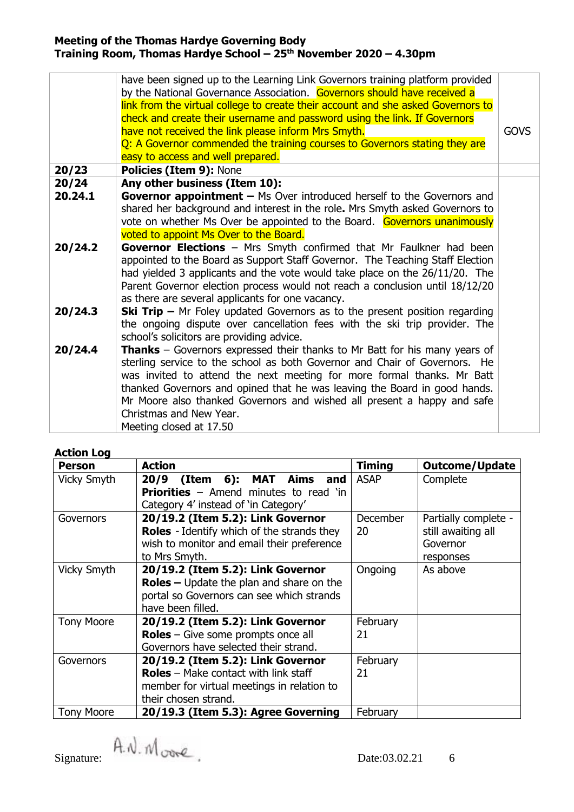|                  | have been signed up to the Learning Link Governors training platform provided<br>by the National Governance Association. Governors should have received a<br>link from the virtual college to create their account and she asked Governors to<br>check and create their username and password using the link. If Governors<br>have not received the link please inform Mrs Smyth.<br>Q: A Governor commended the training courses to Governors stating they are<br>easy to access and well prepared. | <b>GOVS</b> |
|------------------|------------------------------------------------------------------------------------------------------------------------------------------------------------------------------------------------------------------------------------------------------------------------------------------------------------------------------------------------------------------------------------------------------------------------------------------------------------------------------------------------------|-------------|
| 20/23            | Policies (Item 9): None                                                                                                                                                                                                                                                                                                                                                                                                                                                                              |             |
| 20/24<br>20.24.1 | Any other business (Item 10):<br><b>Governor appointment - Ms Over introduced herself to the Governors and</b><br>shared her background and interest in the role. Mrs Smyth asked Governors to<br>vote on whether Ms Over be appointed to the Board. Governors unanimously<br>voted to appoint Ms Over to the Board.                                                                                                                                                                                 |             |
| 20/24.2          | Governor Elections - Mrs Smyth confirmed that Mr Faulkner had been<br>appointed to the Board as Support Staff Governor. The Teaching Staff Election<br>had yielded 3 applicants and the vote would take place on the 26/11/20. The<br>Parent Governor election process would not reach a conclusion until 18/12/20<br>as there are several applicants for one vacancy.                                                                                                                               |             |
| 20/24.3          | <b>Ski Trip –</b> Mr Foley updated Governors as to the present position regarding<br>the ongoing dispute over cancellation fees with the ski trip provider. The<br>school's solicitors are providing advice.                                                                                                                                                                                                                                                                                         |             |
| 20/24.4          | Thanks - Governors expressed their thanks to Mr Batt for his many years of<br>sterling service to the school as both Governor and Chair of Governors. He<br>was invited to attend the next meeting for more formal thanks. Mr Batt<br>thanked Governors and opined that he was leaving the Board in good hands.<br>Mr Moore also thanked Governors and wished all present a happy and safe<br>Christmas and New Year.<br>Meeting closed at 17.50                                                     |             |

# **Action Log**

| <b>Person</b>     | <b>Action</b>                                                                                                                                            | <b>Timing</b>  | <b>Outcome/Update</b>                                               |
|-------------------|----------------------------------------------------------------------------------------------------------------------------------------------------------|----------------|---------------------------------------------------------------------|
| Vicky Smyth       | (Item 6): MAT Aims<br>20/9<br>and<br><b>Priorities</b> $-$ Amend minutes to read 'in<br>Category 4' instead of 'in Category'                             | <b>ASAP</b>    | Complete                                                            |
| Governors         | 20/19.2 (Item 5.2): Link Governor<br><b>Roles</b> - Identify which of the strands they<br>wish to monitor and email their preference<br>to Mrs Smyth.    | December<br>20 | Partially complete -<br>still awaiting all<br>Governor<br>responses |
| Vicky Smyth       | 20/19.2 (Item 5.2): Link Governor<br>$\text{Roles}$ – Update the plan and share on the<br>portal so Governors can see which strands<br>have been filled. | Ongoing        | As above                                                            |
| <b>Tony Moore</b> | 20/19.2 (Item 5.2): Link Governor<br><b>Roles</b> – Give some prompts once all<br>Governors have selected their strand.                                  | February<br>21 |                                                                     |
| Governors         | 20/19.2 (Item 5.2): Link Governor<br><b>Roles</b> – Make contact with link staff<br>member for virtual meetings in relation to<br>their chosen strand.   | February<br>21 |                                                                     |
| <b>Tony Moore</b> | 20/19.3 (Item 5.3): Agree Governing                                                                                                                      | February       |                                                                     |